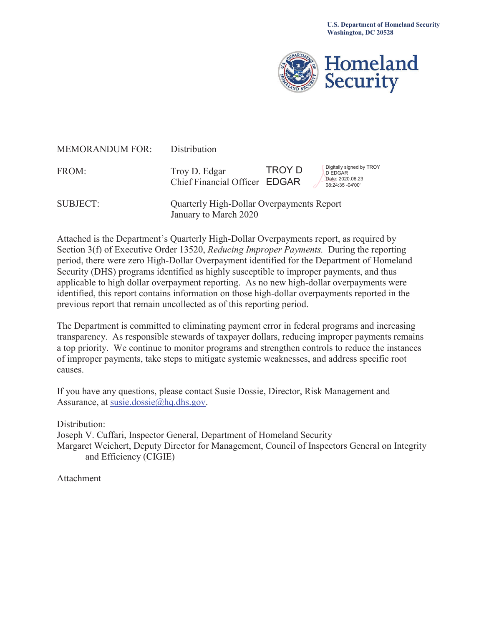

| <b>MEMORANDUM FOR:</b> | Distribution                                                       |        |                                                                                    |
|------------------------|--------------------------------------------------------------------|--------|------------------------------------------------------------------------------------|
| FROM:                  | Troy D. Edgar<br>Chief Financial Officer EDGAR                     | TROY D | Digitally signed by TROY<br><b>D EDGAR</b><br>Date: 2020.06.23<br>08:24:35 -04'00' |
| <b>SUBJECT:</b>        | Quarterly High-Dollar Overpayments Report<br>January to March 2020 |        |                                                                                    |

Attached is the Department's Quarterly High-Dollar Overpayments report, as required by Section 3(f) of Executive Order 13520, *Reducing Improper Payments.* During the reporting period, there were zero High-Dollar Overpayment identified for the Department of Homeland Security (DHS) programs identified as highly susceptible to improper payments, and thus applicable to high dollar overpayment reporting. As no new high-dollar overpayments were identified, this report contains information on those high-dollar overpayments reported in the previous report that remain uncollected as of this reporting period.

The Department is committed to eliminating payment error in federal programs and increasing transparency. As responsible stewards of taxpayer dollars, reducing improper payments remains a top priority. We continue to monitor programs and strengthen controls to reduce the instances of improper payments, take steps to mitigate systemic weaknesses, and address specific root causes.

If you have any questions, please contact Susie Dossie, Director, Risk Management and Assurance, at [susie.dossie@hq.dhs.gov](mailto:susie.dossie@hq.dhs.gov).

Distribution:

Joseph V. Cuffari, Inspector General, Department of Homeland Security Margaret Weichert, Deputy Director for Management, Council of Inspectors General on Integrity and Efficiency (CIGIE)

Attachment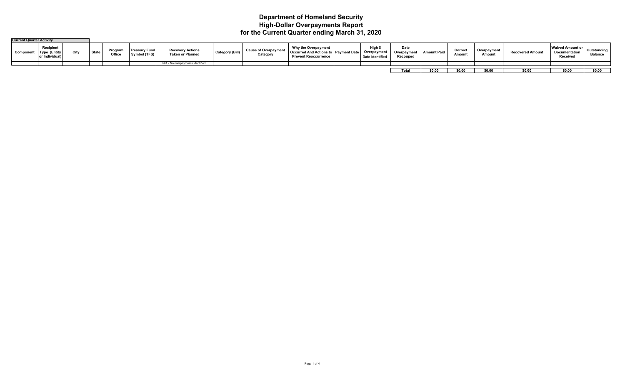## **Department of Homeland Security High-Dollar Overpayments Report for the Current Quarter ending March 31, 2020**

| <b>Current Quarter Activity</b> |                                    |      |              |                  |                               |                                                    |                        |                                         |                                                                                       |                                        |                                 |                    |                  |                       |                        |                                                             |                              |
|---------------------------------|------------------------------------|------|--------------|------------------|-------------------------------|----------------------------------------------------|------------------------|-----------------------------------------|---------------------------------------------------------------------------------------|----------------------------------------|---------------------------------|--------------------|------------------|-----------------------|------------------------|-------------------------------------------------------------|------------------------------|
| Compon                          | Recipient<br>Type<br>or Individual | City | <b>State</b> | Progra<br>Office | Treasurv Funo<br>Symbol (TFS) | <b>Recovery Actions</b><br><b>Taken or Planned</b> | <b>Category (Bill)</b> | <b>Cause of Overpayment</b><br>Category | Why the Overpayment<br>…ed And Actions to 「"<br>Occurr<br><b>Prevent Reoccurrence</b> | High<br>Overpayment<br>Date Identified | Date<br>Overpayment<br>Recouped | <b>Amount Paid</b> | Correct<br>Amoun | Overpayment<br>Amount | <b>Recovered Amoun</b> | <b>Waived Amount or</b><br><b>Documentation</b><br>Receiveo | Outstandin<br><b>Balance</b> |
|                                 |                                    |      |              |                  |                               | N/A - No overpayments identified.                  |                        |                                         |                                                                                       |                                        |                                 |                    |                  |                       |                        |                                                             |                              |
|                                 |                                    |      |              |                  |                               |                                                    |                        |                                         |                                                                                       |                                        |                                 |                    |                  |                       |                        |                                                             |                              |
|                                 |                                    |      |              |                  |                               |                                                    |                        |                                         |                                                                                       |                                        | Tota                            | co or              | \$0.00           | \$0.00                | \$0.00                 | \$0.00                                                      | \$0.00                       |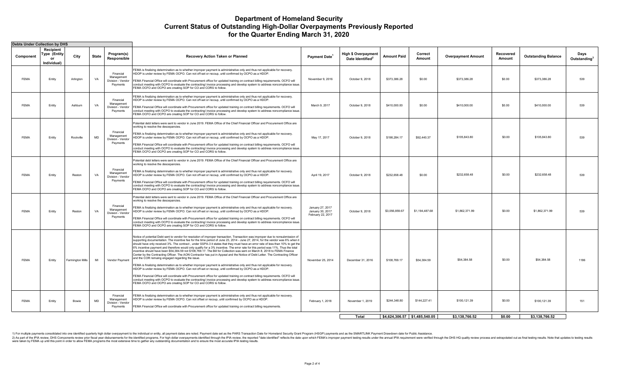## **Department of Homeland Security Current Status of Outstanding High-Dollar Overpayments Previously Reported for the Quarter Ending March 31, 2020**

| <b>Debts Under Collection by DHS</b> |                                                |                 |              |                                                          |                                                                                                                                                                                                                                                                                                                                                                                                                                                                                                                                                                                                                                                                                                                                                                                                                                                                                                                                                                                                                                                                                                                                                                                                                                                                                                                                                                                                                                         |                                                           |                                                            |                               |                   |                           |                     |                            |                                  |
|--------------------------------------|------------------------------------------------|-----------------|--------------|----------------------------------------------------------|-----------------------------------------------------------------------------------------------------------------------------------------------------------------------------------------------------------------------------------------------------------------------------------------------------------------------------------------------------------------------------------------------------------------------------------------------------------------------------------------------------------------------------------------------------------------------------------------------------------------------------------------------------------------------------------------------------------------------------------------------------------------------------------------------------------------------------------------------------------------------------------------------------------------------------------------------------------------------------------------------------------------------------------------------------------------------------------------------------------------------------------------------------------------------------------------------------------------------------------------------------------------------------------------------------------------------------------------------------------------------------------------------------------------------------------------|-----------------------------------------------------------|------------------------------------------------------------|-------------------------------|-------------------|---------------------------|---------------------|----------------------------|----------------------------------|
| Component                            | Recipient<br>Type (Entity<br>or<br>Individual) | City            | <b>State</b> | Program(s)<br>Responsible                                | <b>Recovery Action Taken or Planned</b>                                                                                                                                                                                                                                                                                                                                                                                                                                                                                                                                                                                                                                                                                                                                                                                                                                                                                                                                                                                                                                                                                                                                                                                                                                                                                                                                                                                                 | Payment Date <sup>1</sup>                                 | <b>High \$ Overpayment</b><br>Date Identified <sup>2</sup> | <b>Amount Paid</b>            | Correct<br>Amount | <b>Overpayment Amount</b> | Recovered<br>Amount | <b>Outstanding Balance</b> | Days<br>Outstanding <sup>3</sup> |
| <b>FEMA</b>                          | Entity                                         | Arlington       | VA           | Financial<br>Management<br>Division - Vendor<br>Payments | FEMA is finalizing determination as to whether improper payment is administrative only and thus not applicable for recovery.<br>HDOP is under review by FEMA OCPO. Can not off-set or recoup, until confirmed by OCPO as a HDOP.<br>FEMA Financial Office will coordinate with Procurement office for updated training on contract billing requirements. OCFO will<br>conduct meeting with OCPO to evaluate the contracting/ invoice processing and develop system to address noncompliance issue.<br>FEMA OCFO and OCPO are creating SOP for CO and CORS to follow.                                                                                                                                                                                                                                                                                                                                                                                                                                                                                                                                                                                                                                                                                                                                                                                                                                                                    | November 9, 2016                                          | October 9, 2018                                            | \$373,386.28                  | \$0.00            | \$373,386.28              | \$0.00              | \$373,386.28               | 539                              |
| <b>FEMA</b>                          | Entity                                         | Ashburn         | VA           | Financial<br>Management<br>Division - Vendor<br>Payments | FEMA is finalizing determination as to whether improper payment is administrative only and thus not applicable for recovery.<br>HDOP is under review by FEMA OCPO. Can not off-set or recoup, until confirmed by OCPO as a HDOP.<br>FEMA Financial Office will coordinate with Procurement office for updated training on contract billing requirements. OCFO will<br>conduct meeting with OCPO to evaluate the contracting/ invoice processing and develop system to address noncompliance issue.<br>FEMA OCFO and OCPO are creating SOP for CO and CORS to follow.                                                                                                                                                                                                                                                                                                                                                                                                                                                                                                                                                                                                                                                                                                                                                                                                                                                                    | March 9, 2017                                             | October 9, 2018                                            | \$410,000.00                  | \$0.00            | \$410,000.00              | \$0.00              | \$410,000.00               | 539                              |
| <b>FEMA</b>                          | Entity                                         | Rockville       | <b>MD</b>    | Financial<br>Management<br>Division - Vendor<br>Payments | Potential debt letters were sent to vendor in June 2019. FEMA Office of the Chief Financial Officer and Procurement Office are<br>working to resolve the descepancies.<br>FEMA is finalizing determination as to whether improper payment is administrative only and thus not applicable for recovery.<br>HDOP is under review by FEMA OCPO. Can not off-set or recoup, until confirmed by OCPO as a HDOP.<br>FEMA Financial Office will coordinate with Procurement office for updated training on contract billing requirements. OCFO will<br>conduct meeting with OCPO to evaluate the contracting/ invoice processing and develop system to address noncompliance issue.<br>FEMA OCFO and OCPO are creating SOP for CO and CORS to follow.                                                                                                                                                                                                                                                                                                                                                                                                                                                                                                                                                                                                                                                                                          | May 17, 2017                                              | October 9, 2018                                            | \$198,284.17                  | \$92,440.37       | \$105,843.80              | \$0.00              | \$105,843.80               | 539                              |
| <b>FEMA</b>                          | Entity                                         | Reston          | VA           | Financial<br>Management<br>Division - Vendor<br>Payments | Potential debt letters were sent to vendor in June 2019. FEMA Office of the Chief Financial Officer and Procurement Office are<br>working to resolve the descepancies.<br>FEMA is finalizing determination as to whether improper payment is administrative only and thus not applicable for recovery.<br>HDOP is under review by FEMA OCPO. Can not off-set or recoup, until confirmed by OCPO as a HDOP.<br>FEMA Financial Office will coordinate with Procurement office for updated training on contract billing requirements. OCFO will<br>conduct meeting with OCPO to evaluate the contracting/ invoice processing and develop system to address noncompliance issue.<br>FEMA OCFO and OCPO are creating SOP for CO and CORS to follow.                                                                                                                                                                                                                                                                                                                                                                                                                                                                                                                                                                                                                                                                                          | April 19, 2017                                            | October 9, 2018                                            | \$232,658.48                  | \$0.00            | \$232,658.48              | \$0.00              | \$232,658.48               | 539                              |
| <b>FEMA</b>                          | Entity                                         | Reston          | VA           | Financial<br>Management<br>Division - Vendor<br>Payments | Potential debt letters were sent to vendor in June 2019. FEMA Office of the Chief Financial Officer and Procurement Office are<br>working to resolve the descepancies.<br>FEMA is finalizing determination as to whether improper payment is administrative only and thus not applicable for recovery.<br>HDOP is under review by FEMA OCPO. Can not off-set or recoup, until confirmed by OCPO as a HDOP.<br>FEMA Financial Office will coordinate with Procurement office for updated training on contract billing requirements. OCFO will<br>conduct meeting with OCPO to evaluate the contracting/ invoice processing and develop system to address noncompliance issue.<br>FEMA OCFO and OCPO are creating SOP for CO and CORS to follow.                                                                                                                                                                                                                                                                                                                                                                                                                                                                                                                                                                                                                                                                                          | January 27, 2017<br>January 30, 2017<br>February 22, 2017 | October 9, 2018                                            | \$3,056,859.67                | \$1,194,487.68    | \$1,862,371.99            | \$0.00              | \$1,862,371.99             | 539                              |
| <b>FEMA</b>                          | Entity                                         | armington Mills | MI           | Vendor Payment                                           | Notice of potential Debt sent to vendor for resolution of improper transaction. Transaction was improper due to nonsubmission of<br>supporting documentation. The incentive fee for the time period of June 23, 2014 - June 27, 2014, for the vendor was 6% when it<br>should have only received 3%. The contract, under SSPA-3 it states that they must have an error rate of less than 10% to get the<br>6% incentive payment and therefore would only qualify for a 3% incentive. The error rate for this period was 11%. Thus the total<br>incentive should have been \$54,384.59 not \$108,769.17. The Bill for Collection was sent on March 8, 2018 to FEMA Finance<br>Center by the Contracting Officer. The AON Contractor has put in Appeal and the Notice of Debt Letter. The Contracting Officer<br>and the COR remaing engaged regarding the issue.<br>FEMA is finalizing determination as to whether improper payment is administrative only and thus not applicable for recovery.<br>HDOP is under review by FEMA OCPO. Can not off-set or recoup, until confirmed by OCPO as a HDOP.<br>FEMA Financial Office will coordinate with Procurement office for updated training on contract billing requirements. OCFO will<br>conduct meeting with OCPO to evaluate the contracting/ invoice processing and develop system to address noncompliance issue.<br>FEMA OCFO and OCPO are creating SOP for CO and CORS to follow. | November 25, 2014                                         | December 31, 2016                                          | \$108,769.17                  | \$54,384.59       | \$54,384.58               | \$0.00              | \$54,384.58                | 1186                             |
| <b>FEMA</b>                          | Entity                                         | <b>Bowie</b>    | <b>MD</b>    | Financial<br>Management<br>Division - Vendor<br>Payments | FEMA is finalizing determination as to whether improper payment is administrative only and thus not applicable for recovery.<br>HDOP is under review by FEMA OCPO. Can not offset or recoup, until confirmed by OCPO as a HDOP.<br>FEMA Financial Office will coordinate with Procurement office for updated training on contract billing requirements.                                                                                                                                                                                                                                                                                                                                                                                                                                                                                                                                                                                                                                                                                                                                                                                                                                                                                                                                                                                                                                                                                 | February 1, 2018                                          | November 1, 2019                                           | \$244,348.80                  | \$144,227.41      | \$100.121.39              | \$0.00              | \$100,121.39               | 151                              |
|                                      |                                                |                 |              |                                                          |                                                                                                                                                                                                                                                                                                                                                                                                                                                                                                                                                                                                                                                                                                                                                                                                                                                                                                                                                                                                                                                                                                                                                                                                                                                                                                                                                                                                                                         |                                                           | Total                                                      | \$4,624,306.57 \$1,485,540.05 |                   | \$3,138,766.52            | \$0.00              | \$3,138,766.52             |                                  |

1) For multiple payments consolidated into one identified quarterly high dollar overpayment to the individual or entity, all payment dates are noted. Payment dates set as the PARS Transaction Date for Homeland Security Gra

2) As part of the IPM review, DHS Components review prior fiscal year disbursements for the dentilled programs. For high dolar overpayments dentile IPM results the reported "date identified" reflects the date upon which FE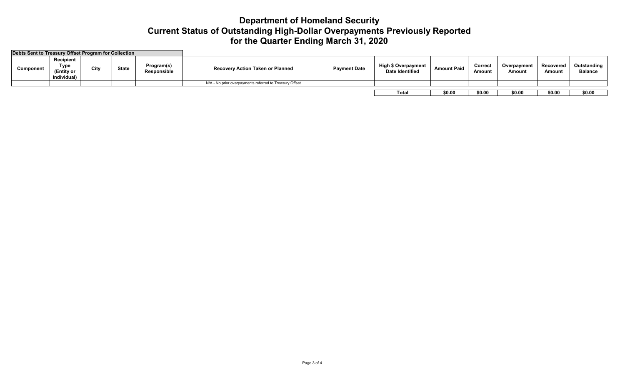## **Department of Homeland Security Current Status of Outstanding High-Dollar Overpayments Previously Reported for the Quarter Ending March 31, 2020**

| Debts Sent to Treasury Offset Program for Collection |                                                                                                     |  |  |                                  |                                                         |                                                      |                    |                          |                       |                     |                               |        |
|------------------------------------------------------|-----------------------------------------------------------------------------------------------------|--|--|----------------------------------|---------------------------------------------------------|------------------------------------------------------|--------------------|--------------------------|-----------------------|---------------------|-------------------------------|--------|
| Component                                            | Recipient<br>Program(s)<br>Type<br>City<br><b>State</b><br>(Entity or<br>Responsible<br>Individual) |  |  | Recovery Action Taken or Planned | <b>Payment Date</b>                                     | <b>High \$ Overpayment</b><br><b>Date Identified</b> | <b>Amount Paid</b> | <b>Correct</b><br>Amount | Overpayment<br>Amount | Recovered<br>Amount | Outstanding<br><b>Balance</b> |        |
|                                                      |                                                                                                     |  |  |                                  | N/A - No prior overpayments referred to Treasury Offset |                                                      |                    |                          |                       |                     |                               |        |
|                                                      |                                                                                                     |  |  |                                  |                                                         |                                                      |                    |                          |                       |                     |                               |        |
|                                                      |                                                                                                     |  |  |                                  |                                                         |                                                      | Total              | \$0.00                   | \$0.00                | \$0.00              | \$0.00                        | \$0.00 |